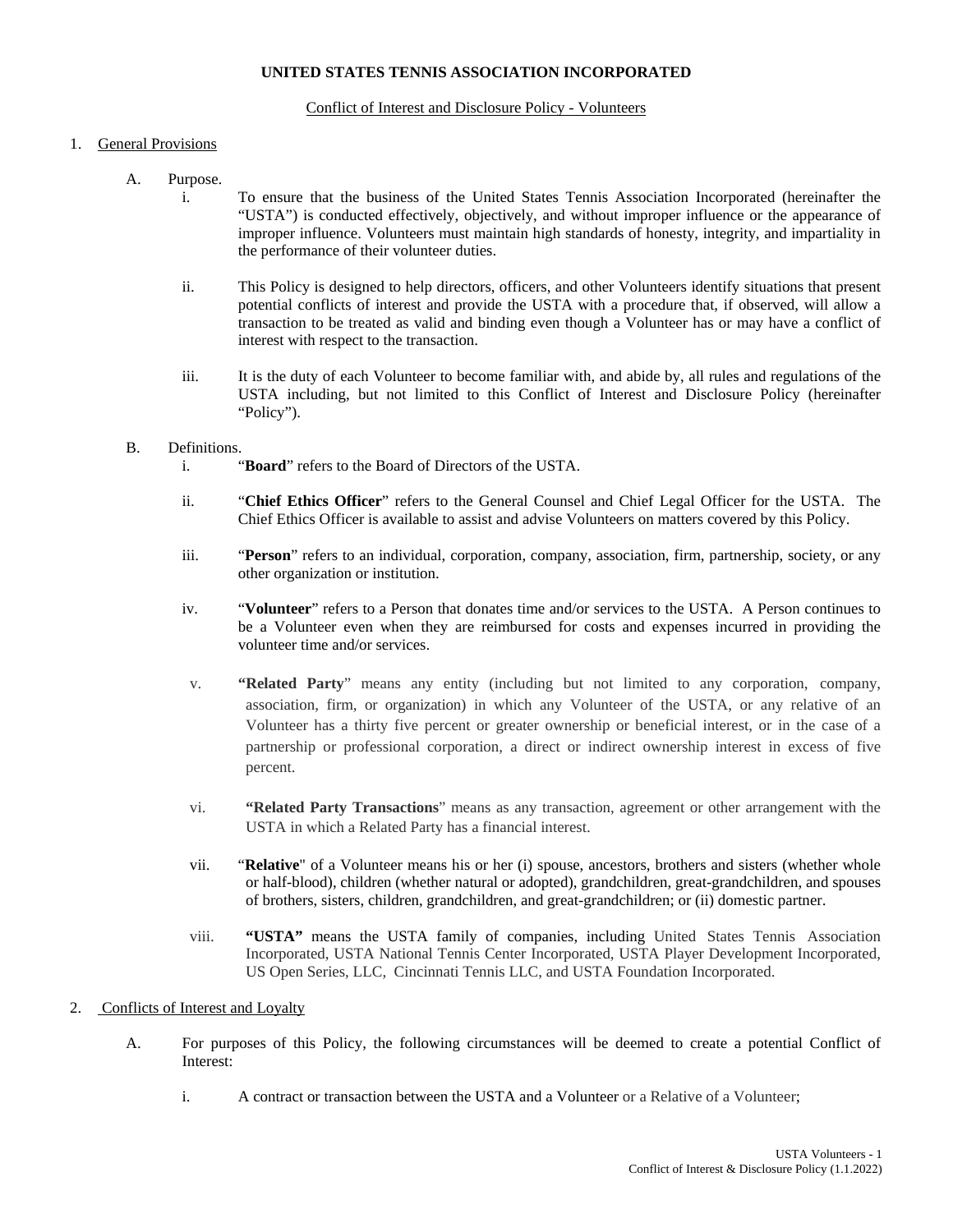#### **UNITED STATES TENNIS ASSOCIATION INCORPORATED**

#### Conflict of Interest and Disclosure Policy - Volunteers

#### 1. General Provisions

- A. Purpose.
	- i. To ensure that the business of the United States Tennis Association Incorporated (hereinafter the "USTA") is conducted effectively, objectively, and without improper influence or the appearance of improper influence. Volunteers must maintain high standards of honesty, integrity, and impartiality in the performance of their volunteer duties.
	- ii. This Policy is designed to help directors, officers, and other Volunteers identify situations that present potential conflicts of interest and provide the USTA with a procedure that, if observed, will allow a transaction to be treated as valid and binding even though a Volunteer has or may have a conflict of interest with respect to the transaction.
	- iii. It is the duty of each Volunteer to become familiar with, and abide by, all rules and regulations of the USTA including, but not limited to this Conflict of Interest and Disclosure Policy (hereinafter "Policy").

#### B. Definitions.

- i. "**Board**" refers to the Board of Directors of the USTA.
- ii. "**Chief Ethics Officer**" refers to the General Counsel and Chief Legal Officer for the USTA. The Chief Ethics Officer is available to assist and advise Volunteers on matters covered by this Policy.
- iii. "**Person**" refers to an individual, corporation, company, association, firm, partnership, society, or any other organization or institution.
- iv. "**Volunteer**" refers to a Person that donates time and/or services to the USTA. A Person continues to be a Volunteer even when they are reimbursed for costs and expenses incurred in providing the volunteer time and/or services.
- v. **"Related Party**" means any entity (including but not limited to any corporation, company, association, firm, or organization) in which any Volunteer of the USTA, or any relative of an Volunteer has a thirty five percent or greater ownership or beneficial interest, or in the case of a partnership or professional corporation, a direct or indirect ownership interest in excess of five percent.
- vi. **"Related Party Transactions**" means as any transaction, agreement or other arrangement with the USTA in which a Related Party has a financial interest.
- vii. "**Relative**" of a Volunteer means his or her (i) spouse, ancestors, brothers and sisters (whether whole or half-blood), children (whether natural or adopted), grandchildren, great-grandchildren, and spouses of brothers, sisters, children, grandchildren, and great-grandchildren; or (ii) domestic partner.
- viii. **"USTA"** means the USTA family of companies, including United States Tennis Association Incorporated, USTA National Tennis Center Incorporated, USTA Player Development Incorporated, US Open Series, LLC, Cincinnati Tennis LLC, and USTA Foundation Incorporated.

#### 2. Conflicts of Interest and Loyalty

- A. For purposes of this Policy, the following circumstances will be deemed to create a potential Conflict of Interest:
	- i. A contract or transaction between the USTA and a Volunteer or a Relative of a Volunteer;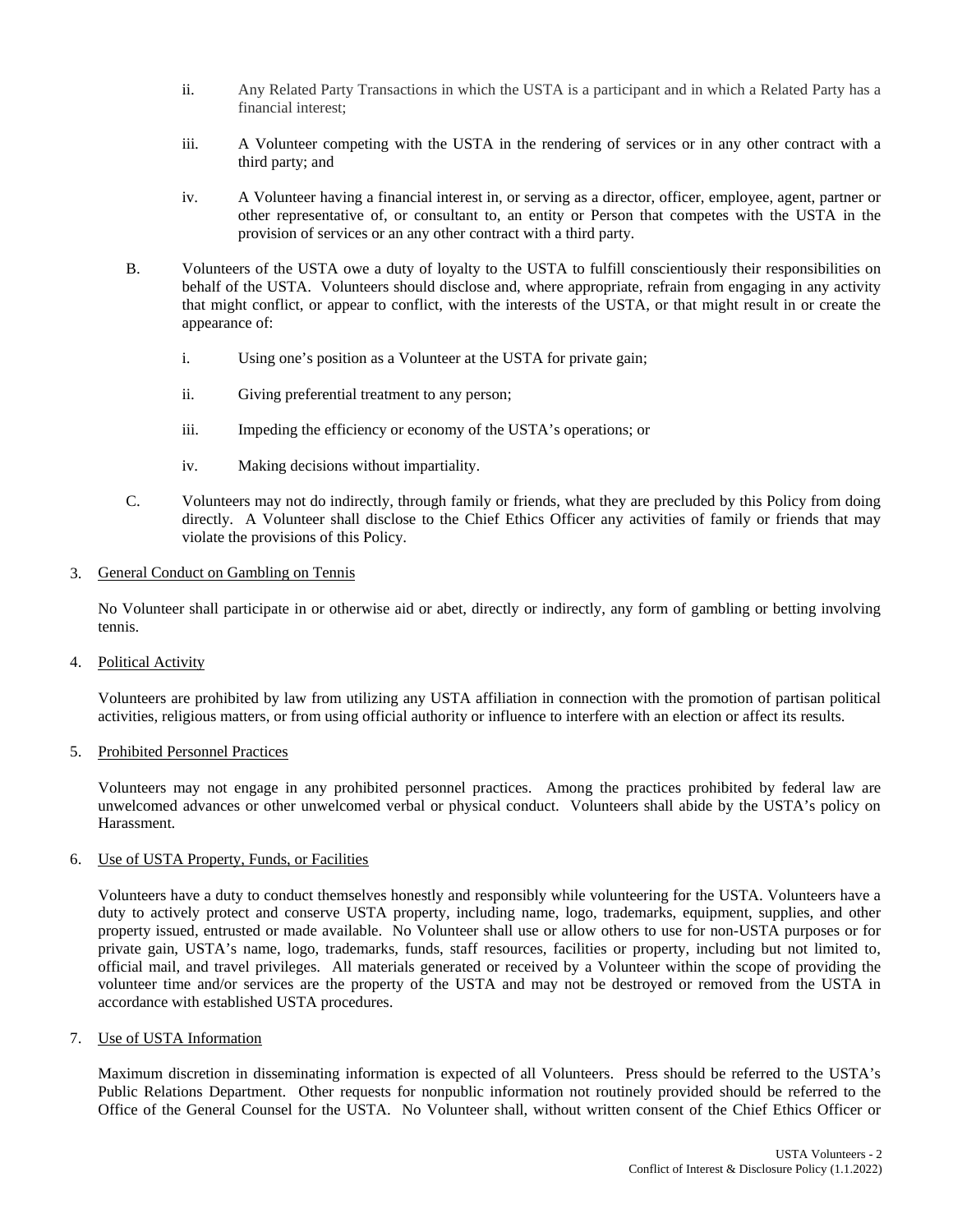- ii. Any Related Party Transactions in which the USTA is a participant and in which a Related Party has a financial interest;
- iii. A Volunteer competing with the USTA in the rendering of services or in any other contract with a third party; and
- iv. A Volunteer having a financial interest in, or serving as a director, officer, employee, agent, partner or other representative of, or consultant to, an entity or Person that competes with the USTA in the provision of services or an any other contract with a third party.
- B. Volunteers of the USTA owe a duty of loyalty to the USTA to fulfill conscientiously their responsibilities on behalf of the USTA. Volunteers should disclose and, where appropriate, refrain from engaging in any activity that might conflict, or appear to conflict, with the interests of the USTA, or that might result in or create the appearance of:
	- i. Using one's position as a Volunteer at the USTA for private gain;
	- ii. Giving preferential treatment to any person;
	- iii. Impeding the efficiency or economy of the USTA's operations; or
	- iv. Making decisions without impartiality.
- C. Volunteers may not do indirectly, through family or friends, what they are precluded by this Policy from doing directly. A Volunteer shall disclose to the Chief Ethics Officer any activities of family or friends that may violate the provisions of this Policy.

#### 3. General Conduct on Gambling on Tennis

No Volunteer shall participate in or otherwise aid or abet, directly or indirectly, any form of gambling or betting involving tennis.

4. Political Activity

Volunteers are prohibited by law from utilizing any USTA affiliation in connection with the promotion of partisan political activities, religious matters, or from using official authority or influence to interfere with an election or affect its results.

5. Prohibited Personnel Practices

Volunteers may not engage in any prohibited personnel practices. Among the practices prohibited by federal law are unwelcomed advances or other unwelcomed verbal or physical conduct. Volunteers shall abide by the USTA's policy on Harassment.

#### 6. Use of USTA Property, Funds, or Facilities

Volunteers have a duty to conduct themselves honestly and responsibly while volunteering for the USTA. Volunteers have a duty to actively protect and conserve USTA property, including name, logo, trademarks, equipment, supplies, and other property issued, entrusted or made available. No Volunteer shall use or allow others to use for non-USTA purposes or for private gain, USTA's name, logo, trademarks, funds, staff resources, facilities or property, including but not limited to, official mail, and travel privileges. All materials generated or received by a Volunteer within the scope of providing the volunteer time and/or services are the property of the USTA and may not be destroyed or removed from the USTA in accordance with established USTA procedures.

7. Use of USTA Information

Maximum discretion in disseminating information is expected of all Volunteers. Press should be referred to the USTA's Public Relations Department. Other requests for nonpublic information not routinely provided should be referred to the Office of the General Counsel for the USTA. No Volunteer shall, without written consent of the Chief Ethics Officer or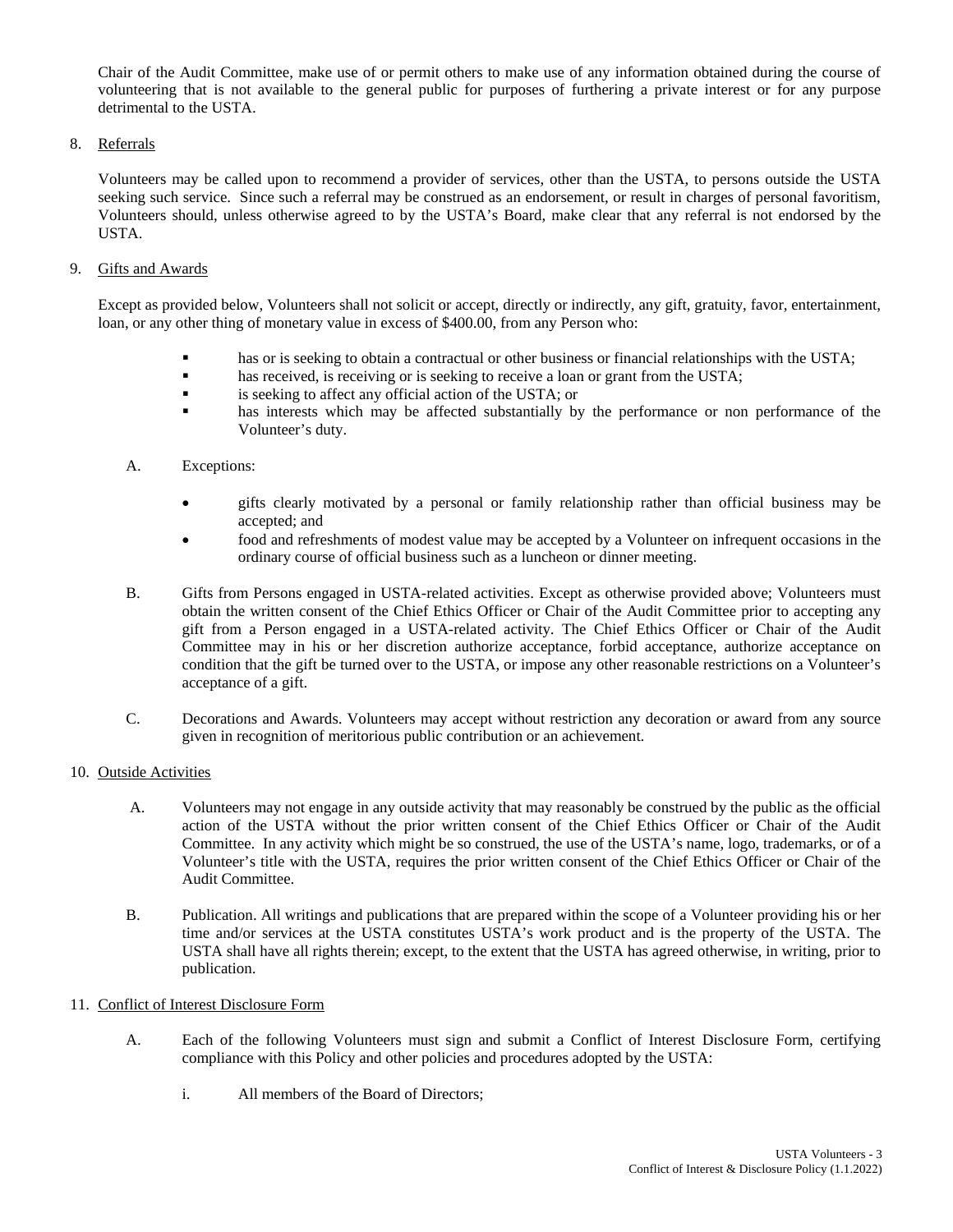Chair of the Audit Committee, make use of or permit others to make use of any information obtained during the course of volunteering that is not available to the general public for purposes of furthering a private interest or for any purpose detrimental to the USTA.

### 8. Referrals

Volunteers may be called upon to recommend a provider of services, other than the USTA, to persons outside the USTA seeking such service. Since such a referral may be construed as an endorsement, or result in charges of personal favoritism, Volunteers should, unless otherwise agreed to by the USTA's Board, make clear that any referral is not endorsed by the USTA.

### 9. Gifts and Awards

Except as provided below, Volunteers shall not solicit or accept, directly or indirectly, any gift, gratuity, favor, entertainment, loan, or any other thing of monetary value in excess of \$400.00, from any Person who:

- **has or is seeking to obtain a contractual or other business or financial relationships with the USTA;**
- **has received, is receiving or is seeking to receive a loan or grant from the USTA;**
- is seeking to affect any official action of the USTA; or
- **has interests which may be affected substantially by the performance or non performance of the** Volunteer's duty.

### A. Exceptions:

- gifts clearly motivated by a personal or family relationship rather than official business may be accepted; and
- food and refreshments of modest value may be accepted by a Volunteer on infrequent occasions in the ordinary course of official business such as a luncheon or dinner meeting.
- B. Gifts from Persons engaged in USTA-related activities. Except as otherwise provided above; Volunteers must obtain the written consent of the Chief Ethics Officer or Chair of the Audit Committee prior to accepting any gift from a Person engaged in a USTA-related activity. The Chief Ethics Officer or Chair of the Audit Committee may in his or her discretion authorize acceptance, forbid acceptance, authorize acceptance on condition that the gift be turned over to the USTA, or impose any other reasonable restrictions on a Volunteer's acceptance of a gift.
- C. Decorations and Awards. Volunteers may accept without restriction any decoration or award from any source given in recognition of meritorious public contribution or an achievement.

### 10. Outside Activities

- A. Volunteers may not engage in any outside activity that may reasonably be construed by the public as the official action of the USTA without the prior written consent of the Chief Ethics Officer or Chair of the Audit Committee. In any activity which might be so construed, the use of the USTA's name, logo, trademarks, or of a Volunteer's title with the USTA, requires the prior written consent of the Chief Ethics Officer or Chair of the Audit Committee.
- B. Publication. All writings and publications that are prepared within the scope of a Volunteer providing his or her time and/or services at the USTA constitutes USTA's work product and is the property of the USTA. The USTA shall have all rights therein; except, to the extent that the USTA has agreed otherwise, in writing, prior to publication.

### 11. Conflict of Interest Disclosure Form

- A. Each of the following Volunteers must sign and submit a Conflict of Interest Disclosure Form, certifying compliance with this Policy and other policies and procedures adopted by the USTA:
	- i. All members of the Board of Directors;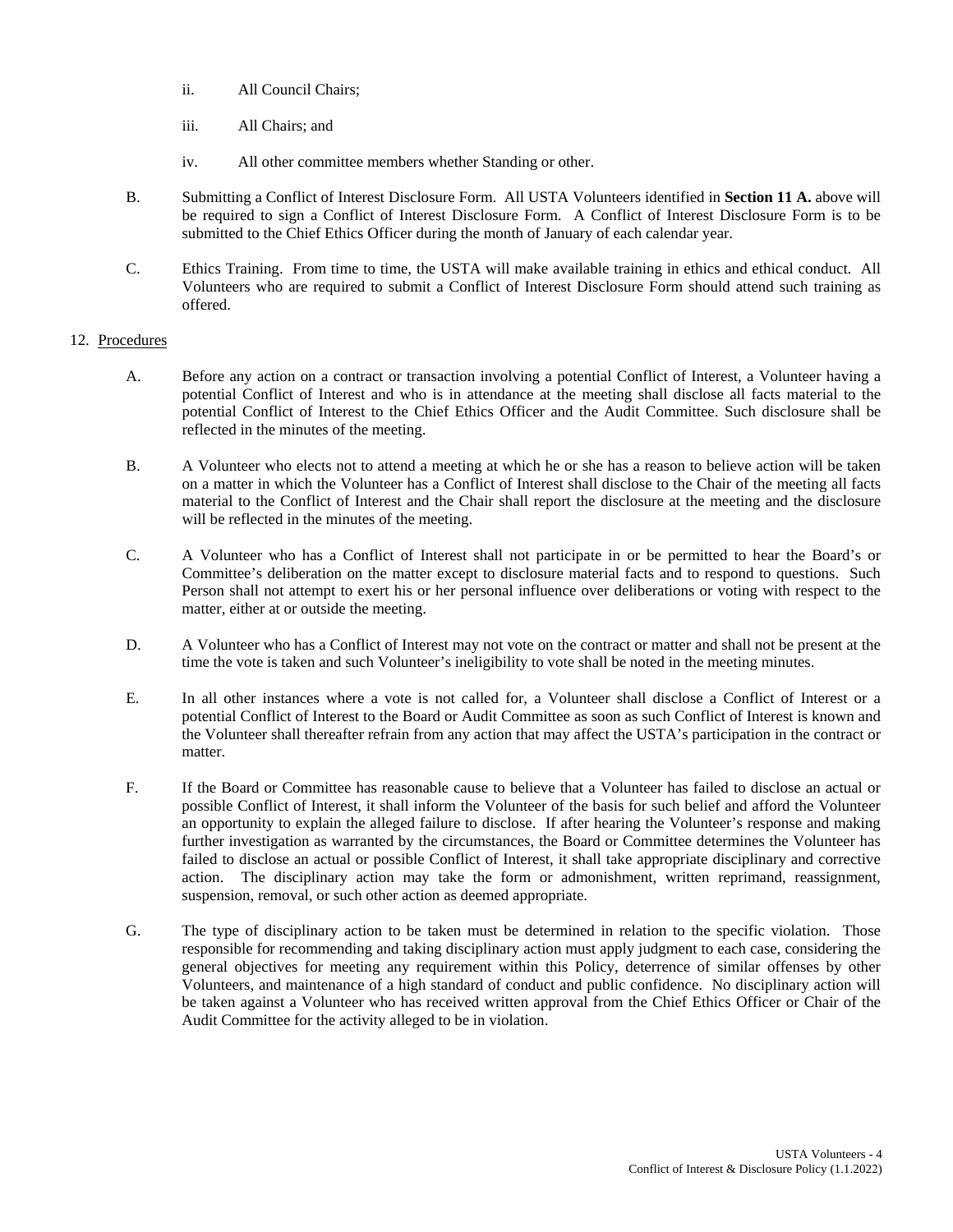- ii. All Council Chairs;
- iii. All Chairs; and
- iv. All other committee members whether Standing or other.
- B. Submitting a Conflict of Interest Disclosure Form. All USTA Volunteers identified in **Section 11 A.** above will be required to sign a Conflict of Interest Disclosure Form. A Conflict of Interest Disclosure Form is to be submitted to the Chief Ethics Officer during the month of January of each calendar year.
- C. Ethics Training. From time to time, the USTA will make available training in ethics and ethical conduct. All Volunteers who are required to submit a Conflict of Interest Disclosure Form should attend such training as offered.

### 12. Procedures

- A. Before any action on a contract or transaction involving a potential Conflict of Interest, a Volunteer having a potential Conflict of Interest and who is in attendance at the meeting shall disclose all facts material to the potential Conflict of Interest to the Chief Ethics Officer and the Audit Committee. Such disclosure shall be reflected in the minutes of the meeting.
- B. A Volunteer who elects not to attend a meeting at which he or she has a reason to believe action will be taken on a matter in which the Volunteer has a Conflict of Interest shall disclose to the Chair of the meeting all facts material to the Conflict of Interest and the Chair shall report the disclosure at the meeting and the disclosure will be reflected in the minutes of the meeting.
- C. A Volunteer who has a Conflict of Interest shall not participate in or be permitted to hear the Board's or Committee's deliberation on the matter except to disclosure material facts and to respond to questions. Such Person shall not attempt to exert his or her personal influence over deliberations or voting with respect to the matter, either at or outside the meeting.
- D. A Volunteer who has a Conflict of Interest may not vote on the contract or matter and shall not be present at the time the vote is taken and such Volunteer's ineligibility to vote shall be noted in the meeting minutes.
- E. In all other instances where a vote is not called for, a Volunteer shall disclose a Conflict of Interest or a potential Conflict of Interest to the Board or Audit Committee as soon as such Conflict of Interest is known and the Volunteer shall thereafter refrain from any action that may affect the USTA's participation in the contract or matter.
- F. If the Board or Committee has reasonable cause to believe that a Volunteer has failed to disclose an actual or possible Conflict of Interest, it shall inform the Volunteer of the basis for such belief and afford the Volunteer an opportunity to explain the alleged failure to disclose. If after hearing the Volunteer's response and making further investigation as warranted by the circumstances, the Board or Committee determines the Volunteer has failed to disclose an actual or possible Conflict of Interest, it shall take appropriate disciplinary and corrective action. The disciplinary action may take the form or admonishment, written reprimand, reassignment, suspension, removal, or such other action as deemed appropriate.
- G. The type of disciplinary action to be taken must be determined in relation to the specific violation. Those responsible for recommending and taking disciplinary action must apply judgment to each case, considering the general objectives for meeting any requirement within this Policy, deterrence of similar offenses by other Volunteers, and maintenance of a high standard of conduct and public confidence. No disciplinary action will be taken against a Volunteer who has received written approval from the Chief Ethics Officer or Chair of the Audit Committee for the activity alleged to be in violation.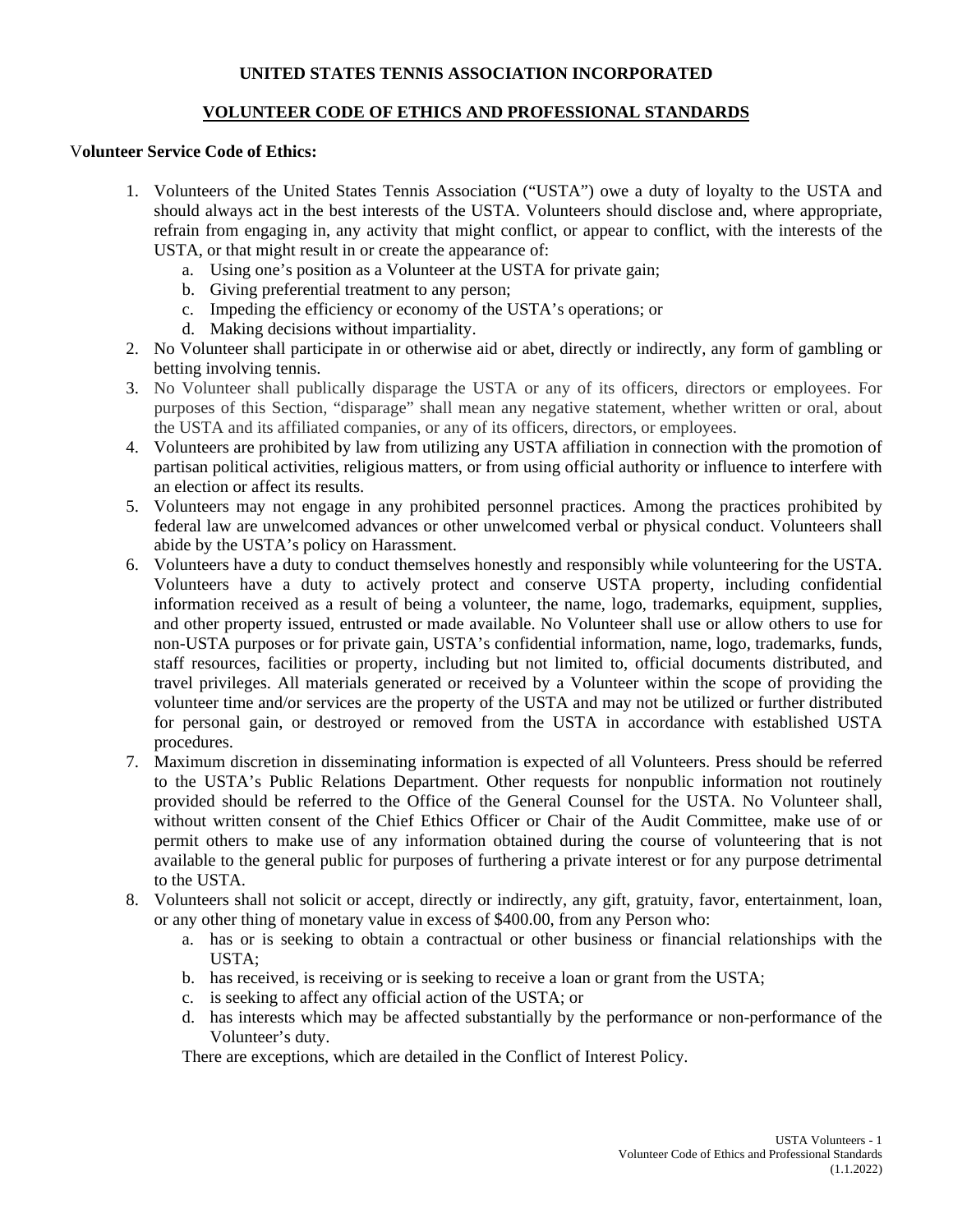# **UNITED STATES TENNIS ASSOCIATION INCORPORATED**

# **VOLUNTEER CODE OF ETHICS AND PROFESSIONAL STANDARDS**

### V**olunteer Service Code of Ethics:**

- 1. Volunteers of the United States Tennis Association ("USTA") owe a duty of loyalty to the USTA and should always act in the best interests of the USTA. Volunteers should disclose and, where appropriate, refrain from engaging in, any activity that might conflict, or appear to conflict, with the interests of the USTA, or that might result in or create the appearance of:
	- a. Using one's position as a Volunteer at the USTA for private gain;
	- b. Giving preferential treatment to any person;
	- c. Impeding the efficiency or economy of the USTA's operations; or
	- d. Making decisions without impartiality.
- 2. No Volunteer shall participate in or otherwise aid or abet, directly or indirectly, any form of gambling or betting involving tennis.
- 3. No Volunteer shall publically disparage the USTA or any of its officers, directors or employees. For purposes of this Section, "disparage" shall mean any negative statement, whether written or oral, about the USTA and its affiliated companies, or any of its officers, directors, or employees.
- 4. Volunteers are prohibited by law from utilizing any USTA affiliation in connection with the promotion of partisan political activities, religious matters, or from using official authority or influence to interfere with an election or affect its results.
- 5. Volunteers may not engage in any prohibited personnel practices. Among the practices prohibited by federal law are unwelcomed advances or other unwelcomed verbal or physical conduct. Volunteers shall abide by the USTA's policy on Harassment.
- 6. Volunteers have a duty to conduct themselves honestly and responsibly while volunteering for the USTA. Volunteers have a duty to actively protect and conserve USTA property, including confidential information received as a result of being a volunteer, the name, logo, trademarks, equipment, supplies, and other property issued, entrusted or made available. No Volunteer shall use or allow others to use for non-USTA purposes or for private gain, USTA's confidential information, name, logo, trademarks, funds, staff resources, facilities or property, including but not limited to, official documents distributed, and travel privileges. All materials generated or received by a Volunteer within the scope of providing the volunteer time and/or services are the property of the USTA and may not be utilized or further distributed for personal gain, or destroyed or removed from the USTA in accordance with established USTA procedures.
- 7. Maximum discretion in disseminating information is expected of all Volunteers. Press should be referred to the USTA's Public Relations Department. Other requests for nonpublic information not routinely provided should be referred to the Office of the General Counsel for the USTA. No Volunteer shall, without written consent of the Chief Ethics Officer or Chair of the Audit Committee, make use of or permit others to make use of any information obtained during the course of volunteering that is not available to the general public for purposes of furthering a private interest or for any purpose detrimental to the USTA.
- 8. Volunteers shall not solicit or accept, directly or indirectly, any gift, gratuity, favor, entertainment, loan, or any other thing of monetary value in excess of \$400.00, from any Person who:
	- a. has or is seeking to obtain a contractual or other business or financial relationships with the USTA;
	- b. has received, is receiving or is seeking to receive a loan or grant from the USTA;
	- c. is seeking to affect any official action of the USTA; or
	- d. has interests which may be affected substantially by the performance or non-performance of the Volunteer's duty.

There are exceptions, which are detailed in the Conflict of Interest Policy.